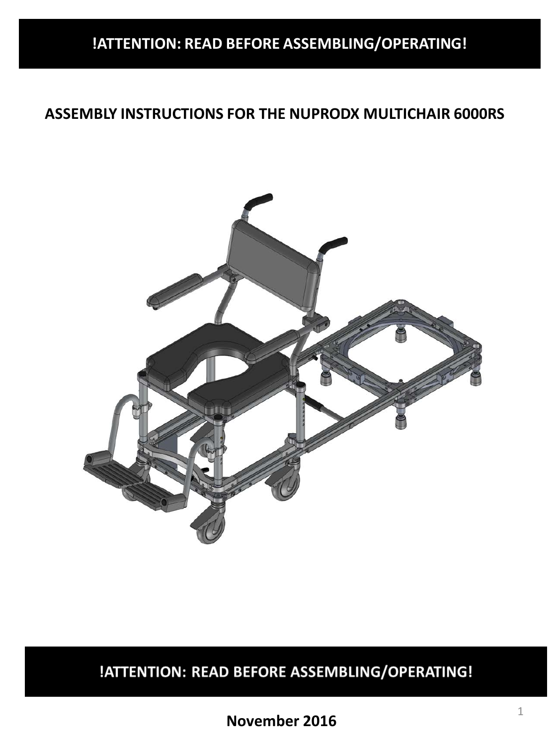# **!ATTENTION: READ BEFORE ASSEMBLING/OPERATING!**

### **ASSEMBLY INSTRUCTIONS FOR THE NUPRODX MULTICHAIR 6000RS**



# !ATTENTION: READ BEFORE ASSEMBLING/OPERATING!

**November 2016**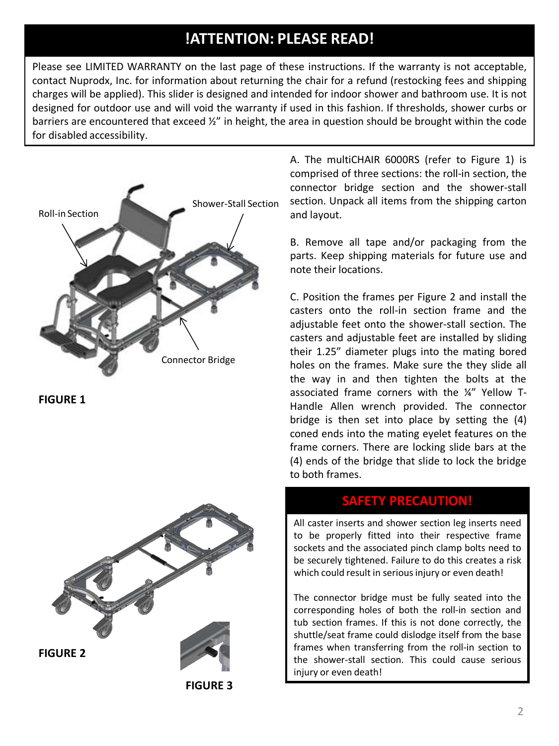### **!ATTENTION: PLEASE READ!**

Please see LIMITED WARRANTY on the last page of these instructions. If the warranty is not acceptable, contact Nuprodx, Inc. for information about returning the chair for a refund (restocking fees and shipping charges will be applied). This slider is designed and intended for indoor shower and bathroom use. It is not designed for outdoor use and will void the warranty if used in this fashion. If thresholds, shower curbs or barriers are encountered that exceed ½" in height, the area in question should be brought within the code for disabled accessibility.



**FIGURE 1**



**FIGURE 3**

A. The multiCHAIR 6000RS (refer to Figure 1) is comprised of three sections: the roll-in section, the connector bridge section and the shower-stall section. Unpack all items from the shipping carton and layout.

B. Remove all tape and/or packaging from the parts. Keep shipping materials for future use and note their locations.

C. Position the frames per Figure 2 and install the casters onto the roll-in section frame and the adjustable feet onto the shower-stall section. The casters and adjustable feet are installed by sliding their 1.25" diameter plugs into the mating bored holes on the frames. Make sure the they slide all the way in and then tighten the bolts at the associated frame corners with the ¼" Yellow T-Handle Allen wrench provided. The connector bridge is then set into place by setting the (4) coned ends into the mating eyelet features on the frame corners. There are locking slide bars at the (4) ends of the bridge that slide to lock the bridge to both frames.

#### **SAFETY PRECAUTION!**

All caster inserts and shower section leg inserts need to be properly fitted into their respective frame sockets and the associated pinch clamp bolts need to be securely tightened. Failure to do this creates a risk which could result in serious injury or even death!

The connector bridge must be fully seated into the corresponding holes of both the roll-in section and tub section frames. If this is not done correctly, the shuttle/seat frame could dislodge itself from the base frames when transferring from the roll-in section to the shower-stall section. This could cause serious injury or even death!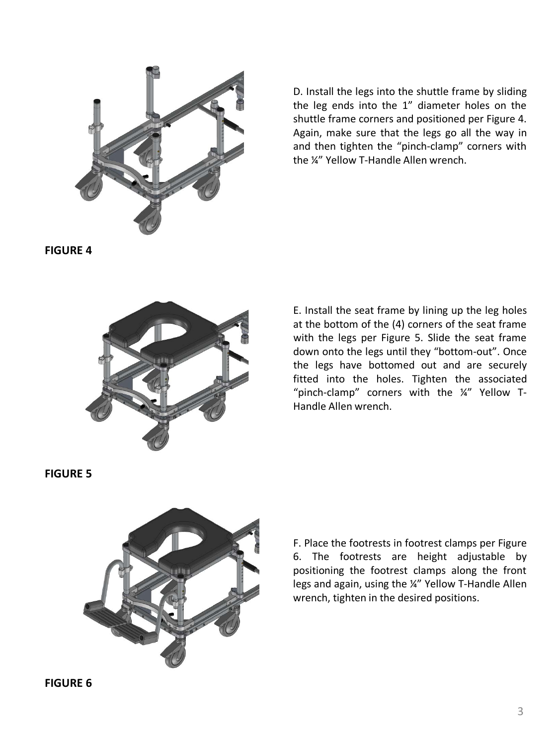

D. Install the legs into the shuttle frame by sliding the leg ends into the 1" diameter holes on the shuttle frame corners and positioned per Figure 4. Again, make sure that the legs go all the way in and then tighten the "pinch-clamp" corners with the ¼" Yellow T-Handle Allen wrench.

**FIGURE 4**



E. Install the seat frame by lining up the leg holes at the bottom of the (4) corners of the seat frame with the legs per Figure 5. Slide the seat frame down onto the legs until they "bottom-out". Once the legs have bottomed out and are securely fitted into the holes. Tighten the associated "pinch-clamp" corners with the ¼" Yellow T-Handle Allen wrench.

**FIGURE 5**



F. Place the footrests in footrest clamps per Figure 6. The footrests are height adjustable by positioning the footrest clamps along the front legs and again, using the ¼" Yellow T-Handle Allen wrench, tighten in the desired positions.

**FIGURE 6**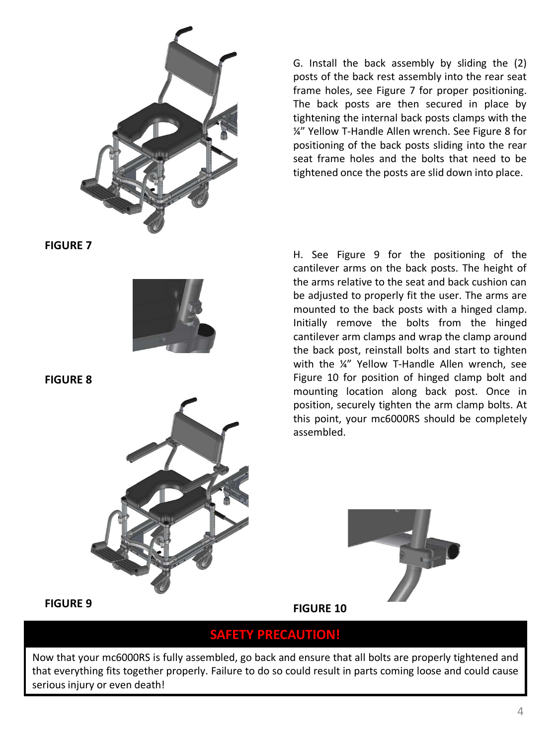

**FIGURE 7**



**FIGURE 8**



G. Install the back assembly by sliding the (2) posts of the back rest assembly into the rear seat frame holes, see Figure 7 for proper positioning. The back posts are then secured in place by tightening the internal back posts clamps with the ¼" Yellow T-Handle Allen wrench. See Figure 8 for positioning of the back posts sliding into the rear seat frame holes and the bolts that need to be tightened once the posts are slid down into place.

H. See Figure 9 for the positioning of the cantilever arms on the back posts. The height of the arms relative to the seat and back cushion can be adjusted to properly fit the user. The arms are mounted to the back posts with a hinged clamp. Initially remove the bolts from the hinged cantilever arm clamps and wrap the clamp around the back post, reinstall bolts and start to tighten with the ¼" Yellow T-Handle Allen wrench, see Figure 10 for position of hinged clamp bolt and mounting location along back post. Once in position, securely tighten the arm clamp bolts. At this point, your mc6000RS should be completely assembled.



**FIGURE 9**

**FIGURE 10**

#### **SAFETY PRECAUTION!**

Now that your mc6000RS is fully assembled, go back and ensure that all bolts are properly tightened and that everything fits together properly. Failure to do so could result in parts coming loose and could cause serious injury or even death!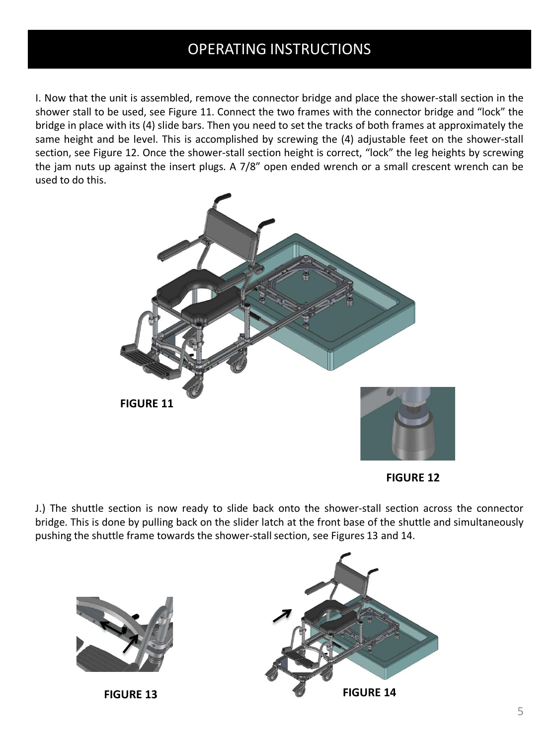## OPERATING INSTRUCTIONS

I. Now that the unit is assembled, remove the connector bridge and place the shower-stall section in the shower stall to be used, see Figure 11. Connect the two frames with the connector bridge and "lock" the bridge in place with its (4) slide bars. Then you need to set the tracks of both frames at approximately the same height and be level. This is accomplished by screwing the (4) adjustable feet on the shower-stall section, see Figure 12. Once the shower-stall section height is correct, "lock" the leg heights by screwing the jam nuts up against the insert plugs. A 7/8" open ended wrench or a small crescent wrench can be used to do this.



**FIGURE 12**

J.) The shuttle section is now ready to slide back onto the shower-stall section across the connector bridge. This is done by pulling back on the slider latch at the front base of the shuttle and simultaneously pushing the shuttle frame towards the shower-stall section, see Figures 13 and 14.



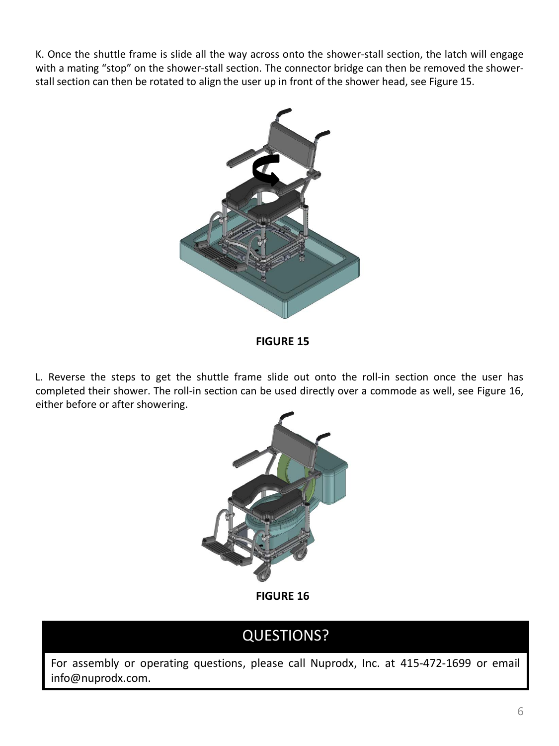K. Once the shuttle frame is slide all the way across onto the shower-stall section, the latch will engage with a mating "stop" on the shower-stall section. The connector bridge can then be removed the showerstall section can then be rotated to align the user up in front of the shower head, see Figure 15.



**FIGURE 15**

L. Reverse the steps to get the shuttle frame slide out onto the roll-in section once the user has completed their shower. The roll-in section can be used directly over a commode as well, see Figure 16, either before or after showering.



**FIGURE 16**

## QUESTIONS?

For assembly or operating questions, please call Nuprodx, Inc. at 415-472-1699 or email info@nuprodx.com.